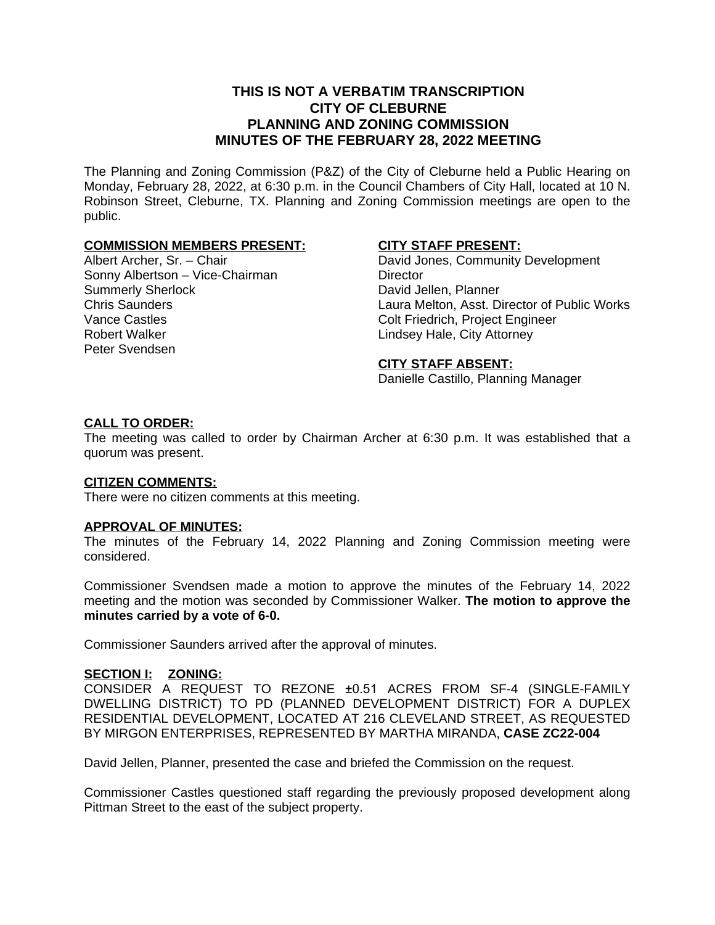## **THIS IS NOT A VERBATIM TRANSCRIPTION CITY OF CLEBURNE PLANNING AND ZONING COMMISSION MINUTES OF THE FEBRUARY 28, 2022 MEETING**

The Planning and Zoning Commission (P&Z) of the City of Cleburne held a Public Hearing on Monday, February 28, 2022, at 6:30 p.m. in the Council Chambers of City Hall, located at 10 N. Robinson Street, Cleburne, TX. Planning and Zoning Commission meetings are open to the public.

## **COMMISSION MEMBERS PRESENT:**

Albert Archer, Sr. – Chair Sonny Albertson – Vice-Chairman Summerly Sherlock Chris Saunders Vance Castles Robert Walker Peter Svendsen

## **CITY STAFF PRESENT:**

David Jones, Community Development **Director** David Jellen, Planner Laura Melton, Asst. Director of Public Works Colt Friedrich, Project Engineer Lindsey Hale, City Attorney

#### **CITY STAFF ABSENT:**

Danielle Castillo, Planning Manager

## **CALL TO ORDER:**

The meeting was called to order by Chairman Archer at 6:30 p.m. It was established that a quorum was present.

#### **CITIZEN COMMENTS:**

There were no citizen comments at this meeting.

#### **APPROVAL OF MINUTES:**

The minutes of the February 14, 2022 Planning and Zoning Commission meeting were considered.

Commissioner Svendsen made a motion to approve the minutes of the February 14, 2022 meeting and the motion was seconded by Commissioner Walker. **The motion to approve the minutes carried by a vote of 6-0.**

Commissioner Saunders arrived after the approval of minutes.

#### **SECTION I: ZONING:**

CONSIDER A REQUEST TO REZONE ±0.51 ACRES FROM SF-4 (SINGLE-FAMILY DWELLING DISTRICT) TO PD (PLANNED DEVELOPMENT DISTRICT) FOR A DUPLEX RESIDENTIAL DEVELOPMENT, LOCATED AT 216 CLEVELAND STREET, AS REQUESTED BY MIRGON ENTERPRISES, REPRESENTED BY MARTHA MIRANDA, **CASE ZC22-004**

David Jellen, Planner, presented the case and briefed the Commission on the request.

Commissioner Castles questioned staff regarding the previously proposed development along Pittman Street to the east of the subject property.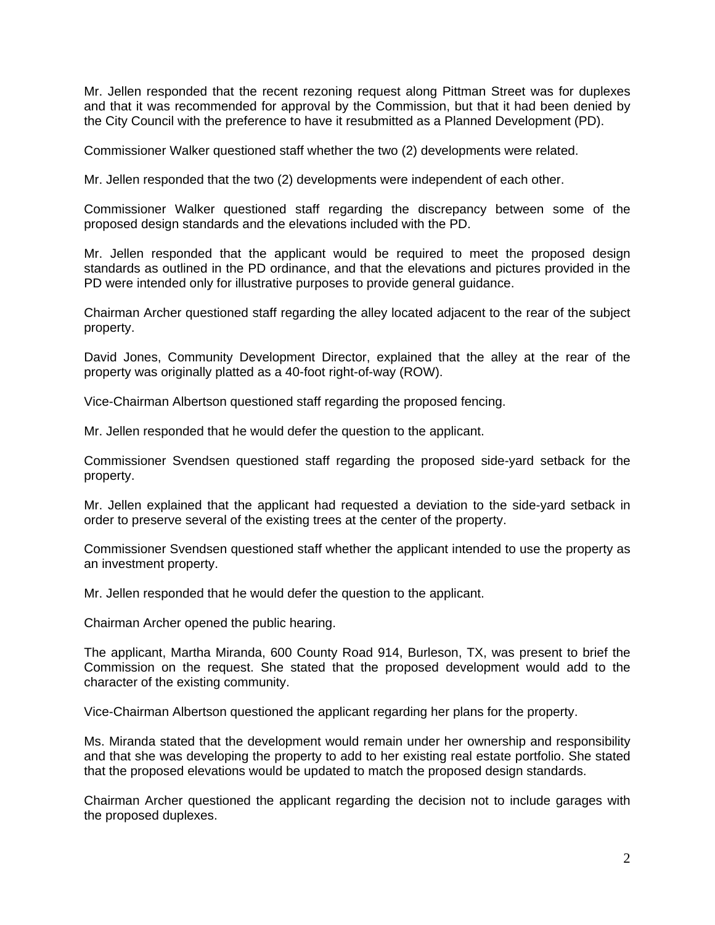Mr. Jellen responded that the recent rezoning request along Pittman Street was for duplexes and that it was recommended for approval by the Commission, but that it had been denied by the City Council with the preference to have it resubmitted as a Planned Development (PD).

Commissioner Walker questioned staff whether the two (2) developments were related.

Mr. Jellen responded that the two (2) developments were independent of each other.

Commissioner Walker questioned staff regarding the discrepancy between some of the proposed design standards and the elevations included with the PD.

Mr. Jellen responded that the applicant would be required to meet the proposed design standards as outlined in the PD ordinance, and that the elevations and pictures provided in the PD were intended only for illustrative purposes to provide general guidance.

Chairman Archer questioned staff regarding the alley located adjacent to the rear of the subject property.

David Jones, Community Development Director, explained that the alley at the rear of the property was originally platted as a 40-foot right-of-way (ROW).

Vice-Chairman Albertson questioned staff regarding the proposed fencing.

Mr. Jellen responded that he would defer the question to the applicant.

Commissioner Svendsen questioned staff regarding the proposed side-yard setback for the property.

Mr. Jellen explained that the applicant had requested a deviation to the side-yard setback in order to preserve several of the existing trees at the center of the property.

Commissioner Svendsen questioned staff whether the applicant intended to use the property as an investment property.

Mr. Jellen responded that he would defer the question to the applicant.

Chairman Archer opened the public hearing.

The applicant, Martha Miranda, 600 County Road 914, Burleson, TX, was present to brief the Commission on the request. She stated that the proposed development would add to the character of the existing community.

Vice-Chairman Albertson questioned the applicant regarding her plans for the property.

Ms. Miranda stated that the development would remain under her ownership and responsibility and that she was developing the property to add to her existing real estate portfolio. She stated that the proposed elevations would be updated to match the proposed design standards.

Chairman Archer questioned the applicant regarding the decision not to include garages with the proposed duplexes.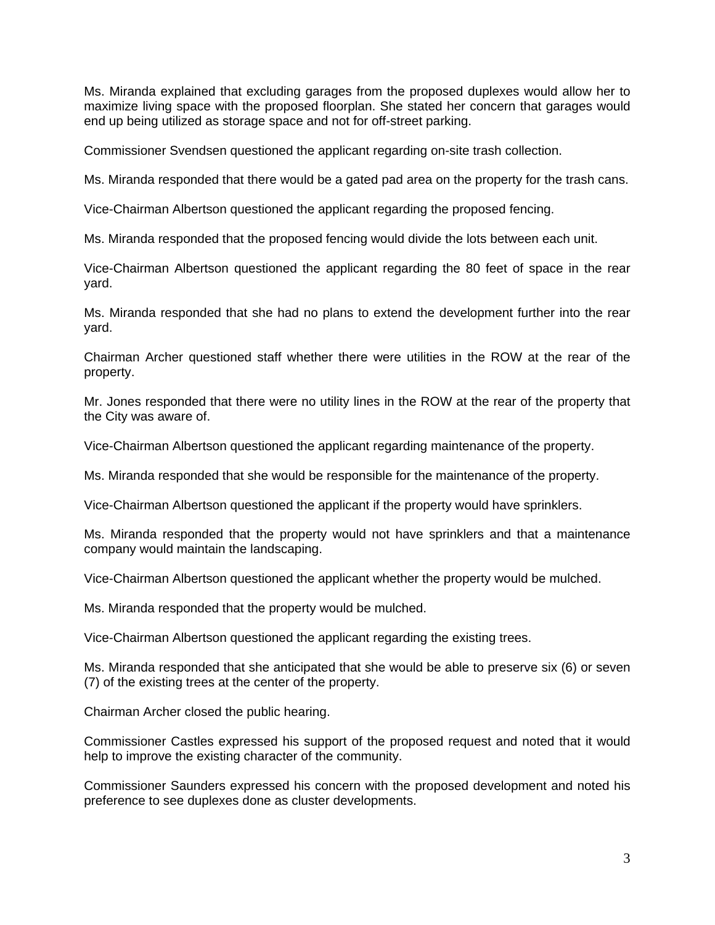Ms. Miranda explained that excluding garages from the proposed duplexes would allow her to maximize living space with the proposed floorplan. She stated her concern that garages would end up being utilized as storage space and not for off-street parking.

Commissioner Svendsen questioned the applicant regarding on-site trash collection.

Ms. Miranda responded that there would be a gated pad area on the property for the trash cans.

Vice-Chairman Albertson questioned the applicant regarding the proposed fencing.

Ms. Miranda responded that the proposed fencing would divide the lots between each unit.

Vice-Chairman Albertson questioned the applicant regarding the 80 feet of space in the rear yard.

Ms. Miranda responded that she had no plans to extend the development further into the rear yard.

Chairman Archer questioned staff whether there were utilities in the ROW at the rear of the property.

Mr. Jones responded that there were no utility lines in the ROW at the rear of the property that the City was aware of.

Vice-Chairman Albertson questioned the applicant regarding maintenance of the property.

Ms. Miranda responded that she would be responsible for the maintenance of the property.

Vice-Chairman Albertson questioned the applicant if the property would have sprinklers.

Ms. Miranda responded that the property would not have sprinklers and that a maintenance company would maintain the landscaping.

Vice-Chairman Albertson questioned the applicant whether the property would be mulched.

Ms. Miranda responded that the property would be mulched.

Vice-Chairman Albertson questioned the applicant regarding the existing trees.

Ms. Miranda responded that she anticipated that she would be able to preserve six (6) or seven (7) of the existing trees at the center of the property.

Chairman Archer closed the public hearing.

Commissioner Castles expressed his support of the proposed request and noted that it would help to improve the existing character of the community.

Commissioner Saunders expressed his concern with the proposed development and noted his preference to see duplexes done as cluster developments.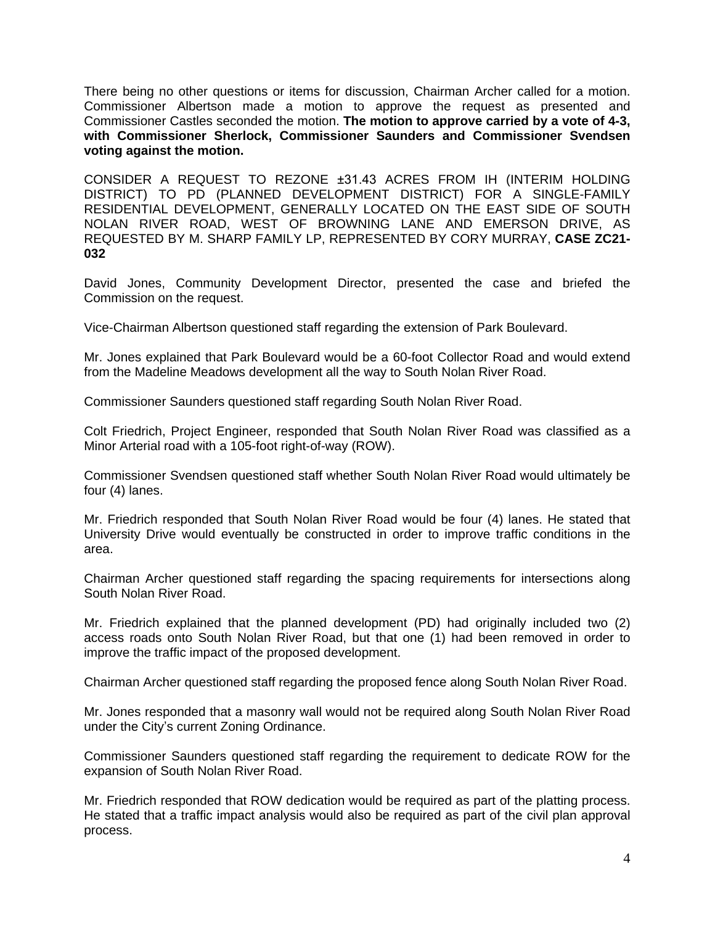There being no other questions or items for discussion, Chairman Archer called for a motion. Commissioner Albertson made a motion to approve the request as presented and Commissioner Castles seconded the motion. **The motion to approve carried by a vote of 4-3, with Commissioner Sherlock, Commissioner Saunders and Commissioner Svendsen voting against the motion.**

CONSIDER A REQUEST TO REZONE ±31.43 ACRES FROM IH (INTERIM HOLDING DISTRICT) TO PD (PLANNED DEVELOPMENT DISTRICT) FOR A SINGLE-FAMILY RESIDENTIAL DEVELOPMENT, GENERALLY LOCATED ON THE EAST SIDE OF SOUTH NOLAN RIVER ROAD, WEST OF BROWNING LANE AND EMERSON DRIVE, AS REQUESTED BY M. SHARP FAMILY LP, REPRESENTED BY CORY MURRAY, **CASE ZC21- 032**

David Jones, Community Development Director, presented the case and briefed the Commission on the request.

Vice-Chairman Albertson questioned staff regarding the extension of Park Boulevard.

Mr. Jones explained that Park Boulevard would be a 60-foot Collector Road and would extend from the Madeline Meadows development all the way to South Nolan River Road.

Commissioner Saunders questioned staff regarding South Nolan River Road.

Colt Friedrich, Project Engineer, responded that South Nolan River Road was classified as a Minor Arterial road with a 105-foot right-of-way (ROW).

Commissioner Svendsen questioned staff whether South Nolan River Road would ultimately be four (4) lanes.

Mr. Friedrich responded that South Nolan River Road would be four (4) lanes. He stated that University Drive would eventually be constructed in order to improve traffic conditions in the area.

Chairman Archer questioned staff regarding the spacing requirements for intersections along South Nolan River Road.

Mr. Friedrich explained that the planned development (PD) had originally included two (2) access roads onto South Nolan River Road, but that one (1) had been removed in order to improve the traffic impact of the proposed development.

Chairman Archer questioned staff regarding the proposed fence along South Nolan River Road.

Mr. Jones responded that a masonry wall would not be required along South Nolan River Road under the City's current Zoning Ordinance.

Commissioner Saunders questioned staff regarding the requirement to dedicate ROW for the expansion of South Nolan River Road.

Mr. Friedrich responded that ROW dedication would be required as part of the platting process. He stated that a traffic impact analysis would also be required as part of the civil plan approval process.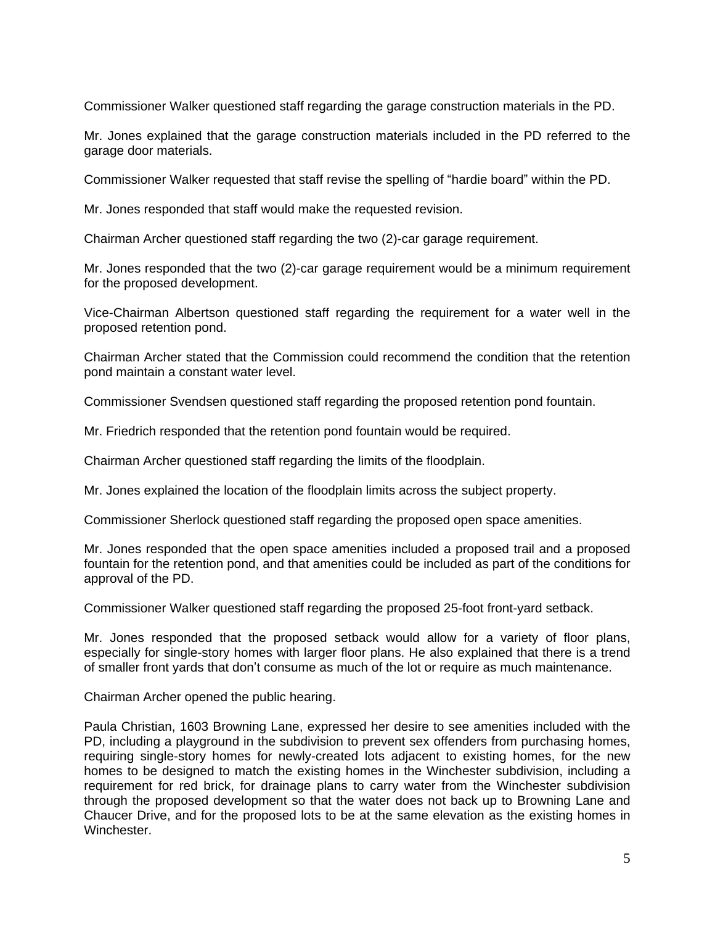Commissioner Walker questioned staff regarding the garage construction materials in the PD.

Mr. Jones explained that the garage construction materials included in the PD referred to the garage door materials.

Commissioner Walker requested that staff revise the spelling of "hardie board" within the PD.

Mr. Jones responded that staff would make the requested revision.

Chairman Archer questioned staff regarding the two (2)-car garage requirement.

Mr. Jones responded that the two (2)-car garage requirement would be a minimum requirement for the proposed development.

Vice-Chairman Albertson questioned staff regarding the requirement for a water well in the proposed retention pond.

Chairman Archer stated that the Commission could recommend the condition that the retention pond maintain a constant water level.

Commissioner Svendsen questioned staff regarding the proposed retention pond fountain.

Mr. Friedrich responded that the retention pond fountain would be required.

Chairman Archer questioned staff regarding the limits of the floodplain.

Mr. Jones explained the location of the floodplain limits across the subject property.

Commissioner Sherlock questioned staff regarding the proposed open space amenities.

Mr. Jones responded that the open space amenities included a proposed trail and a proposed fountain for the retention pond, and that amenities could be included as part of the conditions for approval of the PD.

Commissioner Walker questioned staff regarding the proposed 25-foot front-yard setback.

Mr. Jones responded that the proposed setback would allow for a variety of floor plans, especially for single-story homes with larger floor plans. He also explained that there is a trend of smaller front yards that don't consume as much of the lot or require as much maintenance.

Chairman Archer opened the public hearing.

Paula Christian, 1603 Browning Lane, expressed her desire to see amenities included with the PD, including a playground in the subdivision to prevent sex offenders from purchasing homes, requiring single-story homes for newly-created lots adjacent to existing homes, for the new homes to be designed to match the existing homes in the Winchester subdivision, including a requirement for red brick, for drainage plans to carry water from the Winchester subdivision through the proposed development so that the water does not back up to Browning Lane and Chaucer Drive, and for the proposed lots to be at the same elevation as the existing homes in Winchester.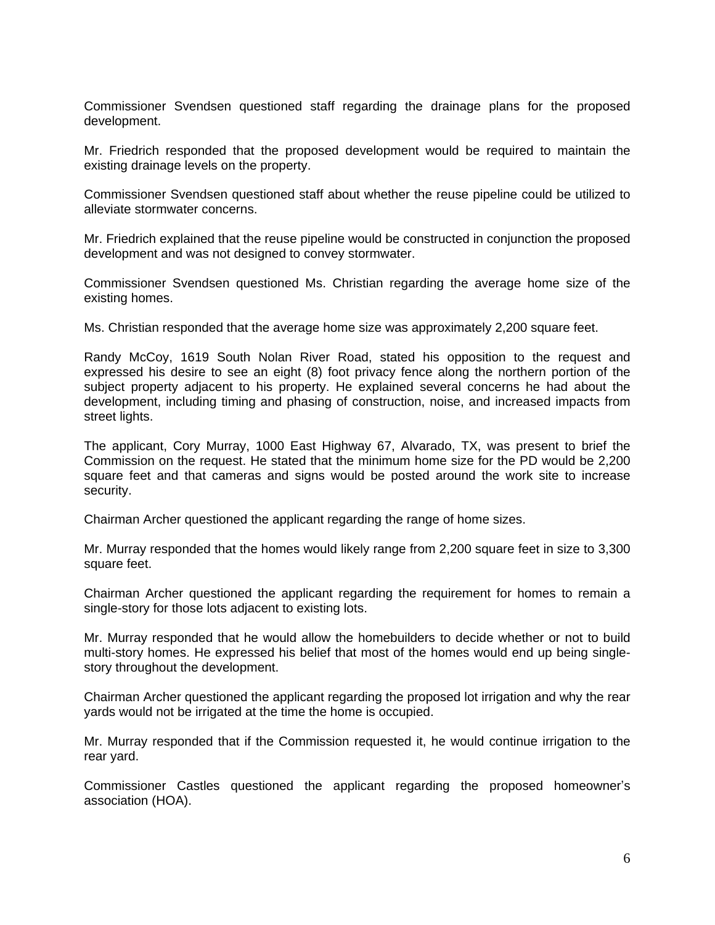Commissioner Svendsen questioned staff regarding the drainage plans for the proposed development.

Mr. Friedrich responded that the proposed development would be required to maintain the existing drainage levels on the property.

Commissioner Svendsen questioned staff about whether the reuse pipeline could be utilized to alleviate stormwater concerns.

Mr. Friedrich explained that the reuse pipeline would be constructed in conjunction the proposed development and was not designed to convey stormwater.

Commissioner Svendsen questioned Ms. Christian regarding the average home size of the existing homes.

Ms. Christian responded that the average home size was approximately 2,200 square feet.

Randy McCoy, 1619 South Nolan River Road, stated his opposition to the request and expressed his desire to see an eight (8) foot privacy fence along the northern portion of the subject property adjacent to his property. He explained several concerns he had about the development, including timing and phasing of construction, noise, and increased impacts from street lights.

The applicant, Cory Murray, 1000 East Highway 67, Alvarado, TX, was present to brief the Commission on the request. He stated that the minimum home size for the PD would be 2,200 square feet and that cameras and signs would be posted around the work site to increase security.

Chairman Archer questioned the applicant regarding the range of home sizes.

Mr. Murray responded that the homes would likely range from 2,200 square feet in size to 3,300 square feet.

Chairman Archer questioned the applicant regarding the requirement for homes to remain a single-story for those lots adjacent to existing lots.

Mr. Murray responded that he would allow the homebuilders to decide whether or not to build multi-story homes. He expressed his belief that most of the homes would end up being singlestory throughout the development.

Chairman Archer questioned the applicant regarding the proposed lot irrigation and why the rear yards would not be irrigated at the time the home is occupied.

Mr. Murray responded that if the Commission requested it, he would continue irrigation to the rear yard.

Commissioner Castles questioned the applicant regarding the proposed homeowner's association (HOA).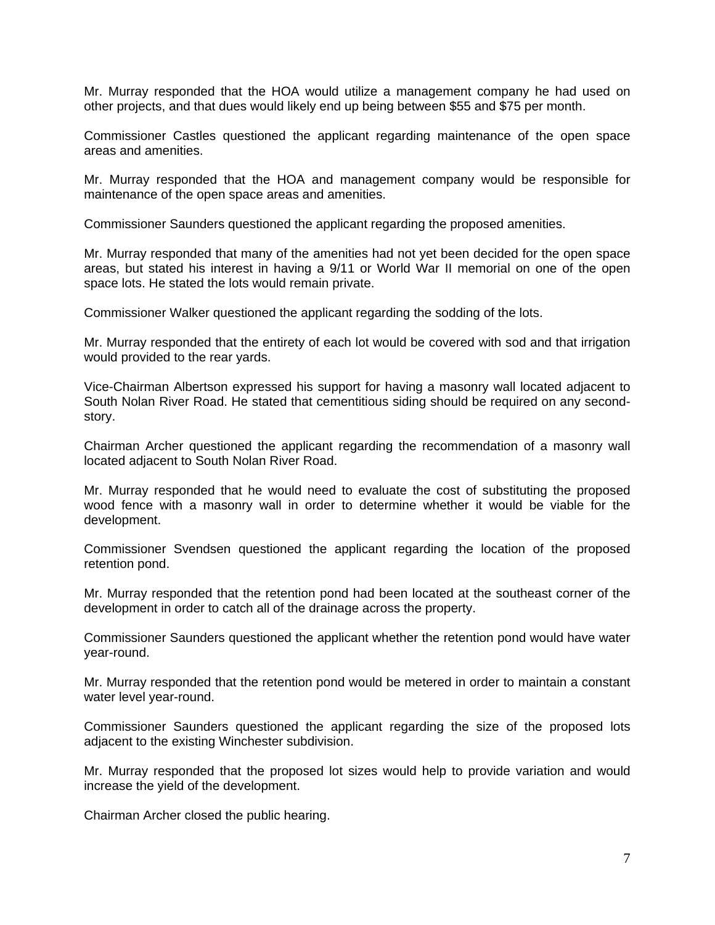Mr. Murray responded that the HOA would utilize a management company he had used on other projects, and that dues would likely end up being between \$55 and \$75 per month.

Commissioner Castles questioned the applicant regarding maintenance of the open space areas and amenities.

Mr. Murray responded that the HOA and management company would be responsible for maintenance of the open space areas and amenities.

Commissioner Saunders questioned the applicant regarding the proposed amenities.

Mr. Murray responded that many of the amenities had not yet been decided for the open space areas, but stated his interest in having a 9/11 or World War II memorial on one of the open space lots. He stated the lots would remain private.

Commissioner Walker questioned the applicant regarding the sodding of the lots.

Mr. Murray responded that the entirety of each lot would be covered with sod and that irrigation would provided to the rear yards.

Vice-Chairman Albertson expressed his support for having a masonry wall located adjacent to South Nolan River Road. He stated that cementitious siding should be required on any secondstory.

Chairman Archer questioned the applicant regarding the recommendation of a masonry wall located adjacent to South Nolan River Road.

Mr. Murray responded that he would need to evaluate the cost of substituting the proposed wood fence with a masonry wall in order to determine whether it would be viable for the development.

Commissioner Svendsen questioned the applicant regarding the location of the proposed retention pond.

Mr. Murray responded that the retention pond had been located at the southeast corner of the development in order to catch all of the drainage across the property.

Commissioner Saunders questioned the applicant whether the retention pond would have water year-round.

Mr. Murray responded that the retention pond would be metered in order to maintain a constant water level year-round.

Commissioner Saunders questioned the applicant regarding the size of the proposed lots adjacent to the existing Winchester subdivision.

Mr. Murray responded that the proposed lot sizes would help to provide variation and would increase the yield of the development.

Chairman Archer closed the public hearing.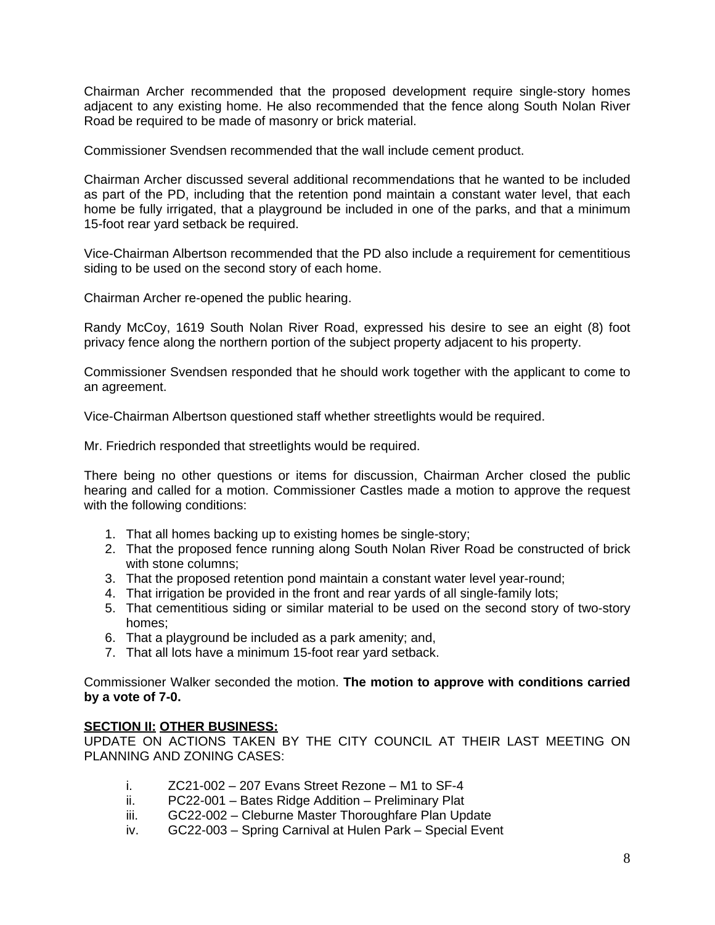Chairman Archer recommended that the proposed development require single-story homes adjacent to any existing home. He also recommended that the fence along South Nolan River Road be required to be made of masonry or brick material.

Commissioner Svendsen recommended that the wall include cement product.

Chairman Archer discussed several additional recommendations that he wanted to be included as part of the PD, including that the retention pond maintain a constant water level, that each home be fully irrigated, that a playground be included in one of the parks, and that a minimum 15-foot rear yard setback be required.

Vice-Chairman Albertson recommended that the PD also include a requirement for cementitious siding to be used on the second story of each home.

Chairman Archer re-opened the public hearing.

Randy McCoy, 1619 South Nolan River Road, expressed his desire to see an eight (8) foot privacy fence along the northern portion of the subject property adjacent to his property.

Commissioner Svendsen responded that he should work together with the applicant to come to an agreement.

Vice-Chairman Albertson questioned staff whether streetlights would be required.

Mr. Friedrich responded that streetlights would be required.

There being no other questions or items for discussion, Chairman Archer closed the public hearing and called for a motion. Commissioner Castles made a motion to approve the request with the following conditions:

- 1. That all homes backing up to existing homes be single-story;
- 2. That the proposed fence running along South Nolan River Road be constructed of brick with stone columns;
- 3. That the proposed retention pond maintain a constant water level year-round;
- 4. That irrigation be provided in the front and rear yards of all single-family lots;
- 5. That cementitious siding or similar material to be used on the second story of two-story homes;
- 6. That a playground be included as a park amenity; and,
- 7. That all lots have a minimum 15-foot rear yard setback.

Commissioner Walker seconded the motion. **The motion to approve with conditions carried by a vote of 7-0.**

## **SECTION II: OTHER BUSINESS:**

UPDATE ON ACTIONS TAKEN BY THE CITY COUNCIL AT THEIR LAST MEETING ON PLANNING AND ZONING CASES:

- i.  $ZC21-002-207$  Evans Street Rezone M1 to SF-4
- ii. PC22-001 Bates Ridge Addition Preliminary Plat
- iii. GC22-002 Cleburne Master Thoroughfare Plan Update
- iv. GC22-003 Spring Carnival at Hulen Park Special Event